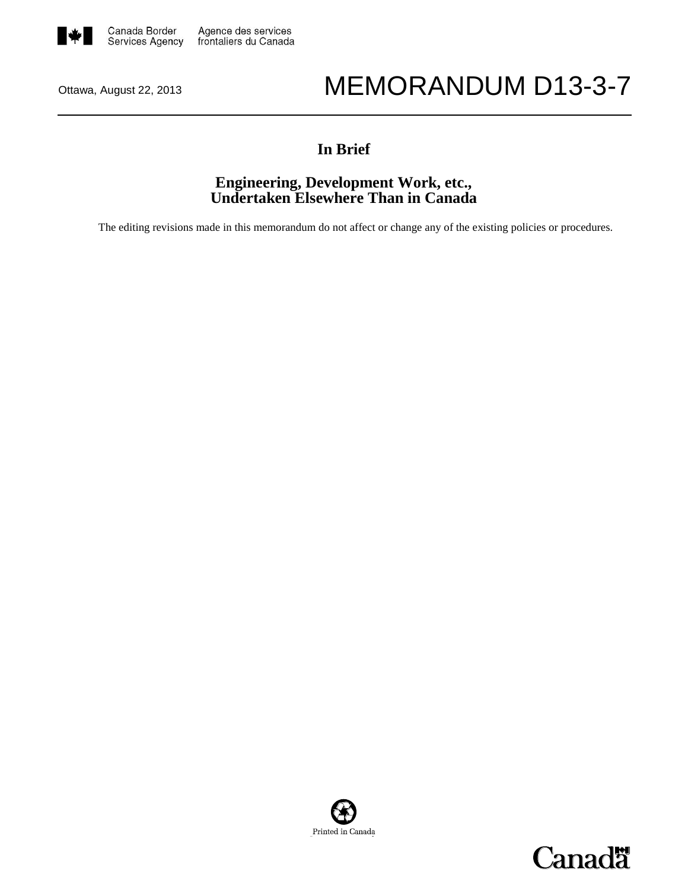

# Ottawa, August 22, 2013 MEMORANDUM D13-3-7

## **In Brief**

## **Engineering, Development Work, etc., Undertaken Elsewhere Than in Canada**

The editing revisions made in this memorandum do not affect or change any of the existing policies or procedures.



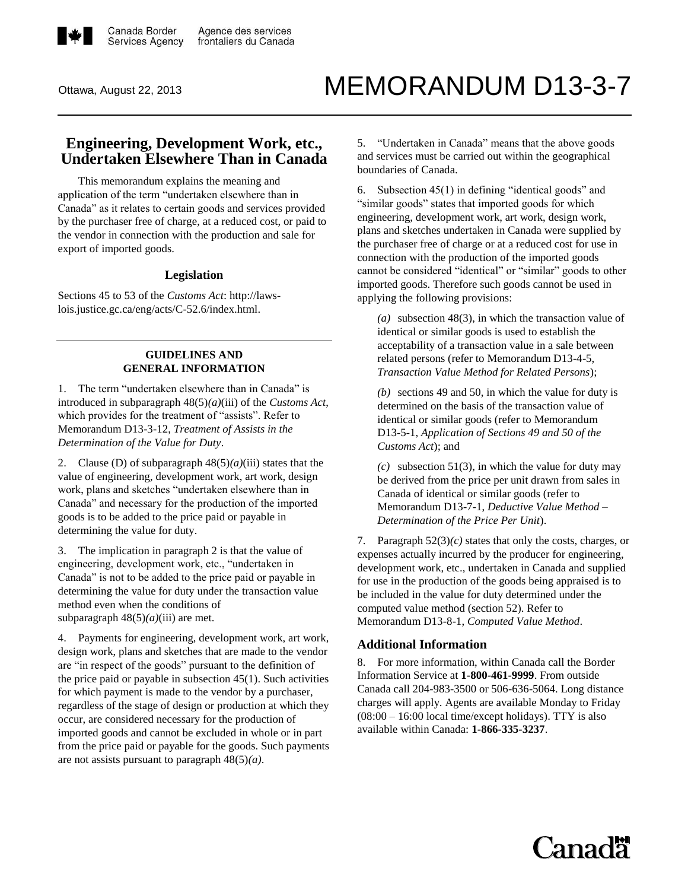

# Ottawa, August 22, 2013 MEMORANDUM D13-3-7

## **Engineering, Development Work, etc., Undertaken Elsewhere Than in Canada**

This memorandum explains the meaning and application of the term "undertaken elsewhere than in Canada" as it relates to certain goods and services provided by the purchaser free of charge, at a reduced cost, or paid to the vendor in connection with the production and sale for export of imported goods.

#### **Legislation**

Sections 45 to 53 of the *Customs Act*: [http://laws](http://laws-lois.justice.gc.ca/eng/acts/C-52.6/index.html)[lois.justice.gc.ca/eng/acts/C-52.6/index.html.](http://laws-lois.justice.gc.ca/eng/acts/C-52.6/index.html)

### **GUIDELINES AND GENERAL INFORMATION**

1. The term "undertaken elsewhere than in Canada" is introduced in subparagraph 48(5)*(a)*(iii) of the *[Customs Act](http://laws-lois.justice.gc.ca/eng/acts/C-52.6/index.html)*, which provides for the treatment of "assists". Refer to [Memorandum D13-3-12,](http://cbsa.gc.ca/publications/dm-md/d13/d13-3-12-eng.html) *Treatment of Assists in the Determination of the Value for Duty*.

2. Clause (D) of subparagraph 48(5)*(a)*(iii) states that the value of engineering, development work, art work, design work, plans and sketches "undertaken elsewhere than in Canada" and necessary for the production of the imported goods is to be added to the price paid or payable in determining the value for duty.

3. The implication in paragraph 2 is that the value of engineering, development work, etc., "undertaken in Canada" is not to be added to the price paid or payable in determining the value for duty under the transaction value method even when the conditions of subparagraph 48(5)*(a)*(iii) are met.

4. Payments for engineering, development work, art work, design work, plans and sketches that are made to the vendor are "in respect of the goods" pursuant to the definition of the price paid or payable in subsection 45(1). Such activities for which payment is made to the vendor by a purchaser, regardless of the stage of design or production at which they occur, are considered necessary for the production of imported goods and cannot be excluded in whole or in part from the price paid or payable for the goods. Such payments are not assists pursuant to paragraph 48(5)*(a)*.

5. "Undertaken in Canada" means that the above goods and services must be carried out within the geographical boundaries of Canada.

6. Subsection 45(1) in defining "identical goods" and "similar goods" states that imported goods for which engineering, development work, art work, design work, plans and sketches undertaken in Canada were supplied by the purchaser free of charge or at a reduced cost for use in connection with the production of the imported goods cannot be considered "identical" or "similar" goods to other imported goods. Therefore such goods cannot be used in applying the following provisions:

*(a)* subsection 48(3), in which the transaction value of identical or similar goods is used to establish the acceptability of a transaction value in a sale between related persons (refer t[o Memorandum D13-4-5,](http://cbsa.gc.ca/publications/dm-md/d13/d13-4-5-eng.html) *Transaction Value Method for Related Persons*);

*(b)* sections 49 and 50, in which the value for duty is determined on the basis of the transaction value of identical or similar goods (refer t[o Memorandum](http://cbsa.gc.ca/publications/dm-md/d13/d13-5-1-eng.html)  [D13-5-1,](http://cbsa.gc.ca/publications/dm-md/d13/d13-5-1-eng.html) *Application of Sections 49 and 50 of the Customs Act*); and

*(c)* subsection 51(3), in which the value for duty may be derived from the price per unit drawn from sales in Canada of identical or similar goods (refer to [Memorandum D13-7-1,](http://cbsa.gc.ca/publications/dm-md/d13/d13-7-1-eng.html) *Deductive Value Method – Determination of the Price Per Unit*).

7. Paragraph 52(3)*(c)* states that only the costs, charges, or expenses actually incurred by the producer for engineering, development work, etc., undertaken in Canada and supplied for use in the production of the goods being appraised is to be included in the value for duty determined under the computed value method (section 52). Refer to [Memorandum D13-8-1,](http://cbsa.gc.ca/publications/dm-md/d13/d13-8-1-eng.html) *Computed Value Method*.

#### **Additional Information**

8. For more information, within Canada call the Border Information Service at **1-800-461-9999**. From outside Canada call 204-983-3500 or 506-636-5064. Long distance charges will apply. Agents are available Monday to Friday (08:00 – 16:00 local time/except holidays). TTY is also available within Canada: **1-866-335-3237**.